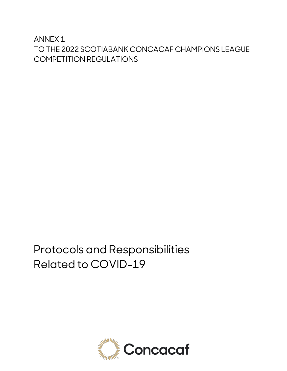ANNEX 1 TO THE 2022 SCOTIABANK CONCACAF CHAMPIONS LEAGUE COMPETITION REGULATIONS

Protocols and Responsibilities Related to COVID-19

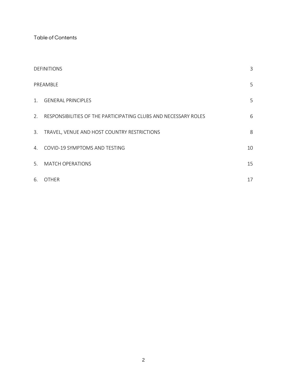Table of Contents

| <b>DEFINITIONS</b> |                                                                 | 3  |
|--------------------|-----------------------------------------------------------------|----|
| PREAMBLE           |                                                                 | 5  |
| 1.                 | <b>GENERAL PRINCIPLES</b>                                       | 5  |
| 2.                 | RESPONSIBILITIES OF THE PARTICIPATING CLUBS AND NECESSARY ROLES | 6  |
| 3.                 | TRAVEL, VENUE AND HOST COUNTRY RESTRICTIONS                     | 8  |
| $4_{\cdot}$        | COVID-19 SYMPTOMS AND TESTING                                   | 10 |
| 5.                 | <b>MATCH OPERATIONS</b>                                         | 15 |
| 6.                 | <b>OTHER</b>                                                    | 17 |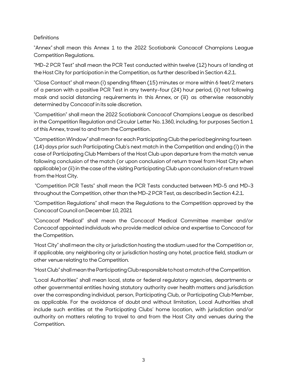# <span id="page-2-0"></span>**Definitions**

"Annex" shall mean this Annex 1 to the 2022 Scotiabank Concacaf Champions League Competition Regulations.

"MD-2 PCR Test" shall mean the PCR Test conducted within twelve (12) hours of landing at the Host City for participation in the Competition, as further described in Section 4.2.1.

"Close Contact" shall mean (i) spending fifteen (15) minutes or more within 6 feet/2 meters of a person with a positive PCR Test in any twenty-four (24) hour period, (ii) not following mask and social distancing requirements in this Annex, or (iii) as otherwise reasonably determinedby Concacaf in its sole discretion.

"Competition" shall mean the 2022 Scotiabank Concacaf Champions League as described in the Competition Regulation and Circular Letter No. 1360, including, for purposes Section 1 of this Annex, travel to and from the Competition.

"CompetitionWindow"shallmeanfor each ParticipatingClubtheperiodbeginningfourteen (14) days prior such Participating Club's next match in the Competition and ending (i) in the case of Participating Club Members of the Host Club upon departure from the match venue following conclusion of the match (or upon conclusion of return travel from Host City when applicable) or (ii) in the case of the visiting Participating Club upon conclusion of return travel from the Host City.

"Competition PCR Tests" shall mean the PCR Tests conducted between MD-5 and MD-3 throughout the Competition, other than the MD-2 PCR Test, as described in Section 4.2.1.

"Competition Regulations" shall mean the Regulations to the Competition approved by the ConcacafCouncil on December 10, 2021

"Concacaf Medical" shall mean the Concacaf Medical Committee member and/or Concacaf appointed individuals who provide medical advice and expertise to Concacaf for the Competition.

"Host City" shall mean the city or jurisdiction hosting the stadium used for the Competition or, if applicable, any neighboring city or jurisdiction hosting any hotel, practice field, stadium or other venue relating to the Competition.

"Host Club" shall mean the Participating Club responsible to host a match of the Competition.

"Local Authorities" shall mean local, state or federal regulatory agencies, departments or other governmental entities having statutory authority over health matters and jurisdiction over the corresponding individual, person, Participating Club, or Participating Club Member, as applicable. For the avoidance of doubt and without limitation, Local Authorities shall include such entities at the Participating Clubs' home location, with jurisdiction and/or authority on matters relating to travel to and from the Host City and venues during the Competition.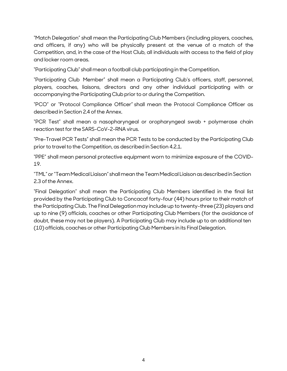"Match Delegation" shall mean the Participating Club Members (including players, coaches, and officers, if any) who will be physically present at the venue of a match of the Competition, and, in the case of the Host Club, all individuals with access to the field of play and locker room areas.

"Participating Club" shall mean a football club participatingin the Competition.

"Participating Club Member" shall mean a Participating Club's officers, staff, personnel, players, coaches, liaisons, directors and any other individual participating with or accompanying the Participating Club prior to or during the Competition.

"PCO" or "Protocol Compliance Officer" shall mean the Protocol Compliance Officer as described in Section 2.4 of the Annex.

"PCR Test" shall mean a nasopharyngeal or oropharyngeal swab + polymerase chain reaction test for the SARS-CoV-2-RNA virus.

"Pre-Travel PCR Tests" shall mean the PCR Tests to be conducted by the Participating Club prior to travel to the Competition, as described in Section 4.2.1.

"PPE" shall mean personal protective equipment worn to minimize exposure of the COVID-19.

"TML"or"TeamMedical Liaison" shallmeantheTeamMedical LiaisonasdescribedinSection 2.3 of the Annex.

"Final Delegation" shall mean the Participating Club Members identified in the final list provided by the Participating Club to Concacaf forty-four (44) hours prior to their match of the Participating Club. The Final Delegationmay include up to twenty-three(23) players and up to nine (9) officials, coaches or other Participating Club Members (for the avoidance of doubt, these may not be players). A Participating Club may include up to an additional ten (10) officials, coaches or other Participating Club Members in its Final Delegation.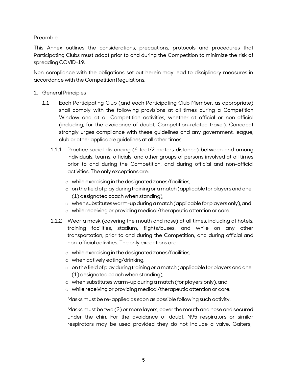## <span id="page-4-0"></span>Preamble

This Annex outlines the considerations, precautions, protocols and procedures that Participating Clubs must adopt prior to and during the Competition to minimize the risk of spreading COVID-19.

Non-compliance with the obligations set out herein may lead to disciplinary measures in accordance with the Competition Regulations.

- <span id="page-4-1"></span>1. General Principles
	- 1.1 Each Participating Club (and each Participating Club Member, as appropriate) shall comply with the following provisions at all times during a Competition Window and at all Competition activities, whether at official or non-official (including, for the avoidance of doubt, Competition-related travel). Concacaf strongly urges compliance with these guidelines and any government, league, club or other applicable quidelines at all other times.
		- 1.1.1 Practice social distancing (6 feet/2 meters distance) between and among individuals, teams, officials, and other groups of persons involved at all times prior to and during the Competition, and during official and non-official activities. The only exceptions are:
			- o while exercisingin the designatedzones/facilities,
			- o on the field of play during training or a match (applicable for players and one (1) designatedcoach when standing),
			- o whensubstituteswarm-upduringamatch(applicableforplayersonly),and
			- o while receiving or providingmedical/therapeutic attention or care.
		- 1.1.2 Wear a mask (covering the mouth and nose) at all times, including at hotels, training facilities, stadium, flights/buses, and while on any other transportation, prior to and during the Competition, and during official and non-official activities. The only exceptions are:
			- o while exercising in the designatedzones/facilities,
			- o when actively eating/drinking,
			- $\circ$  on the field of play during training or a match (applicable for players and one (1) designated coach when standing),
			- o when substitutes warm-up during a match (for players only), and
			- o while receiving or providingmedical/therapeutic attention or care.

Masks must be re-applied as soon as possible followingsuch activity.

Masks must be two (2) or morelayers, coverthe mouth and nose and secured under the chin. For the avoidance of doubt, N95 respirators or similar respirators may be used provided they do not include a valve. Gaiters,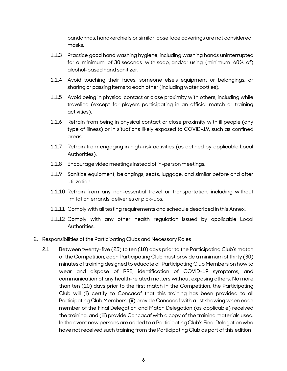bandannas, handkerchiefs or similar loose face coverings are not considered masks.

- 1.1.3 Practice good hand washing hygiene, including washing hands uninterrupted for a minimum of 30 seconds with soap, and/or using (minimum 60% of) alcohol-basedhand sanitizer.
- 1.1.4 Avoid touching their faces, someone else's equipment or belongings, or sharing or passing items to each other (including water bottles).
- 1.1.5 Avoid being in physical contact or close proximity with others, including while traveling (except for players participating in an official match or training activities).
- 1.1.6 Refrain from being in physical contact or close proximity with ill people (any type of illness) or in situations likely exposed to COVID-19, such as confined areas.
- 1.1.7 Refrain from engaging in high-risk activities (as defined by applicable Local Authorities).
- 1.1.8 Encourage videomeetings instead of in-personmeetings.
- 1.1.9 Sanitize equipment, belongings, seats, luggage, and similar before and after utilization.
- 1.1.10 Refrain from any non-essential travel or transportation, including without limitation errands, deliveries or pick-ups.
- 1.1.11 Comply with all testing requirements and schedule described in this Annex.
- 1.1.12 Comply with any other health regulation issued by applicable Local Authorities.
- <span id="page-5-0"></span>2. Responsibilities of the Participating Clubs and Necessary Roles
	- 2.1 Between twenty-five (25) to ten (10) days prior to the Participating Club's match of the Competition, each Participating Clubmust provide a minimum ofthirty (30) minutes oftraining designed to educate all Participating Club Members on how to wear and dispose of PPE, identification of COVID-19 symptoms, and communication of any health-related matters without exposing others. No more than ten (10) days prior to the first match in the Competition, the Participating Club will (i) certify to Concacaf that this training has been provided to all Participating Club Members, (ii) provide Concacaf with a list showing when each member of the Final Delegation and Match Delegation (as applicable) received the training, and (iii) provide Concacaf with a copy of the training materials used. In the event new persons are added to a Participating Club's Final Delegation who have not received such training from the Participating Club as part of this edition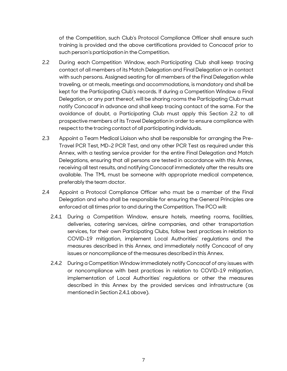of the Competition, such Club's Protocol Compliance Officer shall ensure such training is provided and the above certifications provided to Concacaf prior to such person's participation in the Competition.

- 2.2 During each Competition Window, each Participating Club shall keep tracing contact of all members of its Match Delegation and Final Delegation orin contact with such persons. Assigned seating for all members of the Final Delegation while traveling, or at meals, meetings and accommodations, is mandatory and shall be kept for the Participating Club's records. If during a Competition Window a Final Delegation, or any part thereof, will be sharing rooms the Participating Club must notify Concacaf in advance and shall keep tracing contact of the same. For the avoidance of doubt, a Participating Club must apply this Section 2.2 to all prospective members of its Travel Delegation in order to ensure compliance with respect to the tracing contact of all participating individuals.
- 2.3 Appoint a Team Medical Liaison who shall be responsible for arranging the Pre-Travel PCR Test, MD-2 PCR Test, and any other PCR Test as required under this Annex, with a testing service provider for the entire Final Delegation and Match Delegations, ensuring that all persons are tested in accordance with this Annex, receiving all test results, and notifying Concacaf immediately after the results are available. The TML must be someone with appropriate medical competence, preferably the team doctor.
- 2.4 Appoint a Protocol Compliance Officer who must be a member of the Final Delegation and who shall be responsible for ensuring the General Principles are enforced at all times prior to and during the Competition. The PCO will:
	- 2.4.1 During a Competition Window, ensure hotels, meeting rooms, facilities, deliveries, catering services, airline companies, and other transportation services, for their own Participating Clubs, follow best practices in relation to COVID-19 mitigation, implement Local Authorities' regulations and the measures described in this Annex, and immediately notify Concacaf of any issues or noncompliance of the measures described in this Annex.
	- 2.4.2 During a CompetitionWindow immediately notify Concacaf of any issues with or noncompliance with best practices in relation to COVID-19 mitigation, implementation of Local Authorities' regulations or other the measures described in this Annex by the provided services and infrastructure (as mentionedin Section 2.4.1 above).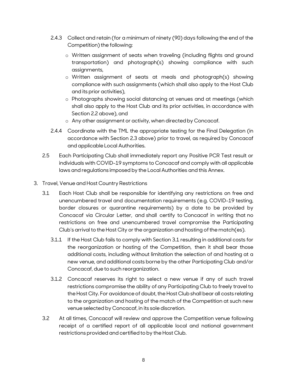- 2.4.3 Collect and retain (for a minimum of ninety (90) days following the end of the Competition) the following:
	- o Written assignment of seats when traveling (including flights and ground transportation) and photograph(s) showing compliance with such assignments,
	- o Written assignment of seats at meals and photograph(s) showing compliance with such assignments (which shall also apply to the Host Club and its prior activities),
	- o Photographs showing social distancing at venues and at meetings (which shall also apply to the Host Club and its prior activities, in accordance with Section 2.2 above), and
	- o Any other assignment or activity, when directed by Concacaf.
- 2.4.4 Coordinate with the TML the appropriate testing for the Final Delegation (in accordance with Section 2.3 above) prior to travel, as required by Concacaf and applicable Local Authorities.
- 2.5 Each Participating Club shall immediately report any Positive PCR Test result or individuals with COVID-19 symptoms to Concacaf and comply with all applicable laws and regulations imposed by the Local Authorities and this Annex.
- <span id="page-7-0"></span>3. Travel, Venue and Host Country Restrictions
	- 3.1 Each Host Club shall be responsible for identifying any restrictions on free and unencumbered travel and documentation requirements (e.g. COVID-19 testing, border closures or quarantine requirements) by a date to be provided by Concacaf via Circular Letter, and shall certify to Concacaf in writing that no restrictions on free and unencumbered travel compromise the Participating Club's arrival to the Host City or the organization and hosting of the match(es).
		- 3.1.1 If the Host Club fails to comply with Section 3.1 resulting in additional costs for the reorganization or hosting of the Competition, then it shall bear those additional costs, including without limitation the selection of and hosting at a new venue, and additional costs borne by the other Participating Club and/or Concacaf, due to such reorganization.
		- 3.1.2 Concacaf reserves its right to select a new venue if any of such travel restrictions compromise the ability of any Participating Club to freely travel to the Host City. For avoidance of doubt, the Host Club shall bear all costs relating to the organization and hosting of the match of the Competition at such new venue selected by Concacaf, in its sole discretion.
	- 3.2 At all times, Concacaf will review and approve the Competition venue following receipt of a certified report of all applicable local and national government restrictions provided and certified to by the Host Club.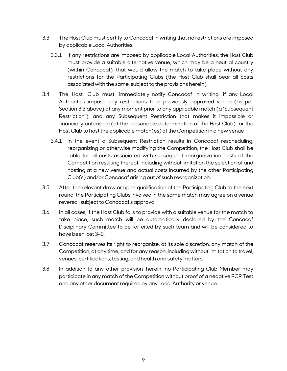- 3.3 The Host Club must certify to Concacafin writing that no restrictions are imposed by applicable Local Authorities.
	- 3.3.1 If any restrictions are imposed by applicable Local Authorities, the Host Club must provide a suitable alternative venue, which may be a neutral country (within Concacaf), that would allow the match to take place without any restrictions for the Participating Clubs (the Host Club shall bear all costs associated with the same, subject to the provisions herein).
- 3.4 The Host Club must immediately notify Concacaf in writing, if any Local Authorities impose any restrictions to a previously approved venue (as per Section 3.3 above) at any moment prior to any applicable match (a "Subsequent Restriction"), and any Subsequent Restriction that makes it impossible or financially unfeasible (at the reasonable determination of the Host Club) for the Host Club to host the applicable match(es) of the Competition in a new venue
	- 3.4.1 In the event a Subsequent Restriction results in Concacaf rescheduling, reorganizing or otherwise modifying the Competition, the Host Club shall be liable for all costs associated with subsequent reorganization costs of the Competition resulting thereof, including without limitation the selection of and hosting at a new venue and actual costs incurred by the other Participating Club(s) and/or Concacaf arising out of such reorganization.
- 3.5 After the relevant draw or upon qualification of the Participating Club to the next round, the Participating Clubs involved in the same match may agree on a venue reversal, subject to Concacaf's approval.
- 3.6 In all cases, if the Host Club fails to provide with a suitable venue for the match to take place, such match will be automatically declared by the Concacaf Disciplinary Committee to be forfeited by such team and will be considered to have been lost 3–0.
- 3.7 Concacaf reserves its right to reorganize, at its sole discretion, any match of the Competition, at any time, and for any reason, including without limitation to travel, venues, certifications, testing, and health and safety matters.
- 3.8 In addition to any other provision herein, no Participating Club Member may participate in any match of the Competition without proof of a negative PCR Test and any other document required by any Local Authority or venue.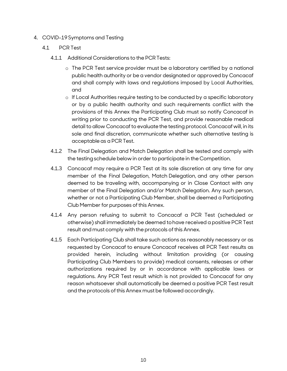- <span id="page-9-0"></span>4. COVID-19 Symptoms and Testing
	- 4.1 PCR Test
		- 4.1.1 Additional Considerations to the PCRTests:
			- o The PCR Test service provider must be a laboratory certified by a national public health authority or be a vendor designated or approved by Concacaf and shall comply with laws and regulations imposed by Local Authorities, and
			- o If Local Authorities require testing to be conducted by a specific laboratory or by a public health authority and such requirements conflict with the provisions of this Annex the Participating Club must so notify Concacaf in writing prior to conducting the PCR Test, and provide reasonable medical detail to allow Concacaf to evaluate the testing protocol. Concacaf will, in its sole and final discretion, communicate whether such alternative testing is acceptable as a PCR Test.
		- 4.1.2 The Final Delegation and Match Delegation shall be tested and comply with the testing schedule below in order to participate in the Competition.
		- 4.1.3 Concacaf may require a PCR Test at its sole discretion at any time for any member of the Final Delegation, Match Delegation, and any other person deemed to be traveling with, accompanying or in Close Contact with any member of the Final Delegation and/or Match Delegation. Any such person, whether or not a Participating Club Member, shall be deemed a Participating Club Member for purposes of this Annex.
		- 4.1.4 Any person refusing to submit to Concacaf a PCR Test (scheduled or otherwise) shall immediately be deemed tohave received a positive PCR Test result and must comply with the protocols of this Annex.
		- 4.1.5 Each Participating Club shall take such actions as reasonably necessary or as requested by Concacaf to ensure Concacaf receives all PCR Test results as provided herein, including without limitation providing (or causing Participating Club Members to provide) medical consents, releases or other authorizations required by or in accordance with applicable laws or regulations. Any PCR Test result which is not provided to Concacaf for any reason whatsoever shall automatically be deemed a positive PCR Test result and the protocols of this Annex must be followed accordingly.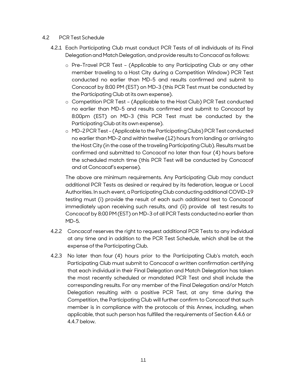## 4.2 PCR Test Schedule

- 4.2.1 Each Participating Club must conduct PCR Tests of all individuals of its Final Delegation and Match Delegation, and provide results to Concacaf as follows:
	- o Pre-Travel PCR Test (Applicable to any Participating Club or any other member traveling to a Host City during a Competition Window) PCR Test conducted no earlier than MD-5 and results confirmed and submit to Concacaf by 8:00 PM (EST) on MD-3 (this PCR Test must be conducted by the Participating Club at its own expense).
	- o Competition PCR Test (Applicable to the Host Club) PCR Test conducted no earlier than MD-5 and results confirmed and submit to Concacaf by 8:00pm (EST) on MD-3 (this PCR Test must be conducted by the Participating Club at its own expense).
	- o MD-2PCR Test (Applicableto the ParticipatingClubs) PCRTest conducted no earlier than MD-2 and within twelve (12) hours from landing or arriving to the Host City (in the case of the traveling Participating Club). Results must be confirmed and submitted to Concacaf no later than four (4) hours before the scheduled match time (this PCR Test will be conducted by Concacaf and at Concacaf's expense).

The above are minimum requirements. Any Participating Club may conduct additional PCR Tests as desired or required by its federation, league or Local Authorities. In such event, a Participating Club conducting additional COVID-19 testing must (i) provide the result of each such additional test to Concacaf immediately upon receiving such results, and (ii) provide all test results to Concacaf by 8:00 PM (EST) on MD-3 of all PCR Tests conducted no earlier than MD-5.

- 4.2.2 Concacaf reserves the right to request additional PCR Tests to any individual at any time and in addition to the PCR Test Schedule, which shall be at the expense of the Participating Club.
- 4.2.3 No later than four (4) hours prior to the Participating Club's match, each Participating Club must submit to Concacaf a written confirmation certifying that each individual in their Final Delegation and Match Delegation has taken the most recently scheduled or mandated PCR Test and shall include the corresponding results. For any member of the Final Delegation and/or Match Delegation resulting with a positive PCR Test, at any time during the Competition, the Participating Club will further confirm to Concacaf that such member is in compliance with the protocols of this Annex, including, when applicable, that such person has fulfilled the requirements of Section 4.4.6 or 4.4.7 below.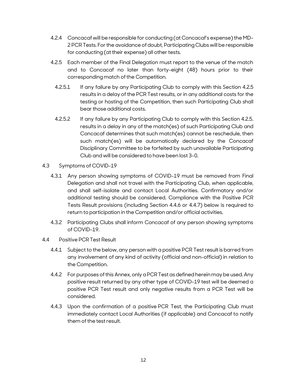- 4.2.4 Concacaf will be responsible for conducting(at Concacaf's expense) the MD-2 PCR Tests. For the avoidance of doubt, Participating Clubs will be responsible for conducting (at their expense) all other tests.
- 4.2.5 Each member of the Final Delegation must report to the venue of the match and to Concacaf no later than forty-eight (48) hours prior to their corresponding match of the Competition.
	- 4.2.5.1 If any failure by any Participating Club to comply with this Section 4.2.5 results in a delay of the PCR Test results, or in any additional costs for the testing or hosting of the Competition, then such Participating Club shall bear those additional costs.
	- 4.2.5.2 If any failure by any Participating Club to comply with this Section 4.2.5. results in a delay in any of the match(es) of such Participating Club and Concacaf determines that such match(es) cannot be reschedule, then such match(es) will be automatically declared by the Concacaf Disciplinary Committee to be forfeited by such unavailable Participating Club and will be consideredto have been lost 3–0.
- 4.3 Symptoms of COVID-19
	- 4.3.1 Any person showing symptoms of COVID-19 must be removed from Final Delegation and shall not travel with the Participating Club, when applicable, and shall self-isolate and contact Local Authorities. Confirmatory and/or additional testing should be considered. Compliance with the Positive PCR Tests Result provisions (including Section 4.4.6 or 4.4.7) below is required to return to participation in the Competition and/or official activities.
	- 4.3.2 Participating Clubs shall inform Concacaf of any person showing symptoms of COVID-19.
- 4.4 Positive PCR Test Result
	- 4.4.1 Subject to the below, any person with a positive PCR Test result is barred from any involvement of any kind of activity (official and non-official) in relation to the Competition.
	- 4.4.2 For purposes of this Annex, only a PCR Test as defined herein may be used. Any positive result returned by any other type of COVID-19 test will be deemed a positive PCR Test result and only negative results from a PCR Test will be considered.
	- 4.4.3 Upon the confirmation of a positive PCR Test, the Participating Club must immediately contact Local Authorities (if applicable) and Concacaf to notify them of the test result.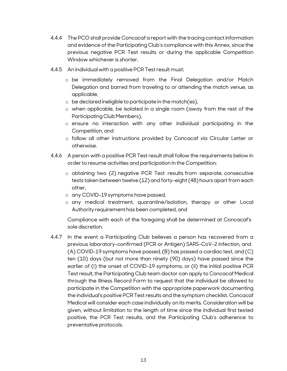- 4.4.4 The PCO shall provide Concacafa report with the tracing contactinformation and evidence of the Participating Club's compliance with this Annex, since the previous negative PCR Test results or during the applicable Competition Window whichever is shorter.
- 4.4.5 An individual with a positive PCR Testresult must:
	- o be immediately removed from the Final Delegation and/or Match Delegation and barred from traveling to or attending the match venue, as applicable,
	- $\circ$  be declared ineligible to participate in the match(es),
	- o when applicable, be isolated in a single room (away from the rest of the Participating Club Members),
	- o ensure no interaction with any other individual participating in the Competition, and
	- o follow all other instructions provided by Concacaf via Circular Letter or otherwise.
- 4.4.6 A person with a positive PCR Testresult shall follow the requirements below in order to resume activities and participation in the Competition:
	- o obtaining two (2) negative PCR Test results from separate, consecutive tests taken between twelve (12) and forty-eight (48) hours apart from each other,
	- o any COVID-19 symptoms have passed,
	- o any medical treatment, quarantine/isolation, therapy or other Local Authority requirement has been completed, and

Compliance with each of the foregoing shall be determined at Concacaf's sole discretion.

4.4.7 In the event a Participating Club believes a person has recovered from a previous laboratory-confirmed (PCR or Antigen) SARS-CoV-2 infection, and (A) COVID-19 symptoms have passed, (B) has passed a cardiac test, and (C) ten (10) days (but not more than ninety (90) days) have passed since the earlier of (i) the onset of COVID-19 symptoms, or (ii) the initial positive PCR Test result, the Participating Club team doctor can apply to Concacaf Medical through the Illness Record Form to request that the individual be allowed to participate in the Competition with the appropriate paperwork documenting the individual's positive PCR Testresults and the symptom checklist. Concacaf Medical will consider each case individually on its merits. Consideration will be given, without limitation to the length of time since the individual first tested positive, the PCR Test results, and the Participating Club's adherence to preventative protocols.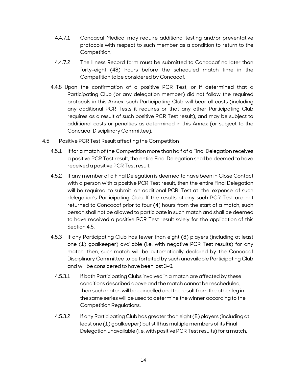- 4.4.7.1 Concacaf Medical may require additional testing and/or preventative protocols with respect to such member as a condition to return to the Competition.
- 4.4.7.2 The Illness Record form must be submitted to Concacaf no later than forty-eight (48) hours before the scheduled match time in the Competition to be considered by Concacaf.
- 4.4.8 Upon the confirmation of a positive PCR Test, or if determined that a Participating Club (or any delegation member) did not follow the required protocols in this Annex, such Participating Club will bear all costs (including any additional PCR Tests it requires or that any other Participating Club requires as a result of such positive PCR Test result), and may be subject to additional costs or penalties as determined in this Annex (or subject to the Concacaf Disciplinary Committee).
- 4.5 Positive PCR Test Result affecting the Competition
	- 4.5.1 If for a match of the Competition more than half of a Final Delegation receives a positive PCR Test result, the entire Final Delegation shall be deemed to have received a positive PCR Testresult.
	- 4.5.2 If any member of a Final Delegation is deemed to have been in Close Contact with a person with a positive PCR Test result, then the entire Final Delegation will be required to submit an additional PCR Test at the expense of such delegation's Participating Club. If the results of any such PCR Test are not returned to Concacaf prior to four (4) hours from the start of a match, such person shall not be allowed to participate in such match and shall be deemed to have received a positive PCR Test result solely for the application of this Section 4.5.
	- 4.5.3 If any Participating Club has fewer than eight (8) players (including at least one (1) goalkeeper) available (i.e. with negative PCR Test results) for any match, then, such match will be automatically declared by the Concacaf Disciplinary Committee to be forfeited by such unavailable Participating Club and will be consideredto have been lost 3–0.
		- 4.5.3.1 If both Participating Clubs involved in a match are affected by these conditions described above and the match cannot be rescheduled, then such match will be cancelled and the result from the other leg in the same series will be used to determine the winner according to the Competition Regulations.
		- 4.5.3.2 If any Participating Club has greater than eight (8) players (including at least one(1) goalkeeper) but still has multiplemembers ofits Final Delegation unavailable (i.e. with positive PCR Testresults) for a match,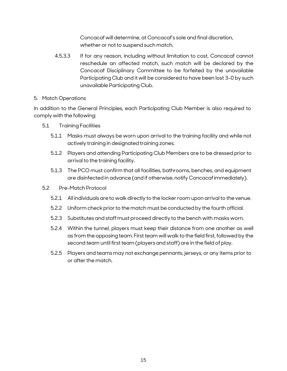Concacaf will determine, at Concacaf's sole and final discretion, whether or not to suspend such match.

4.5.3.3 If for any reason, including without limitation to cost, Concacaf cannot reschedule an affected match, such match will be declared by the Concacaf Disciplinary Committee to be forfeited by the unavailable Participating Club and it will be considered to have been lost 3–0 by such unavailable Participating Club.

### <span id="page-14-0"></span>5. Match Operations

In addition to the General Principles, each Participating Club Member is also required to comply with the following:

- 5.1 Training Facilities
	- 5.1.1 Masks must always be worn upon arrival to the training facility and while not actively training in designated training zones.
	- 5.1.2 Players and attending Participating Club Members are to be dressed prior to arrival to the training facility.
	- 5.1.3 The PCO must confirm that all facilities, bathrooms, benches, and equipment are disinfectedin advance (and if otherwise, notify Concacafimmediately).
- 5.2 Pre-Match Protocol
	- 5.2.1 All individuals are to walk directly to the locker room upon arrival to the venue.
	- 5.2.2 Uniform check prior to the match must be conducted by the fourth official.
	- 5.2.3 Substitutes and staffmust proceed directly to the bench with masks worn.
	- 5.2.4 Within the tunnel, players must keep their distance from one another as well as from the opposing team. First team will walk to the field first, followed by the second team until first team (players and staff) are in the field of play.
	- 5.2.5 Players and teamsmay not exchange pennants, jerseys, or any items priorto or afterthe match.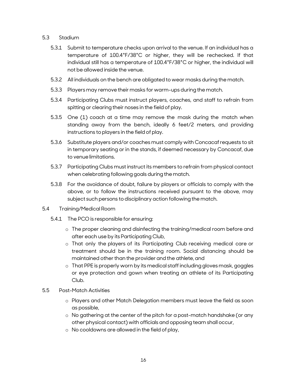## 5.3 Stadium

- 5.3.1 Submit to temperature checks upon arrival to the venue. If an individual has a temperature of 100.4°F/38°C or higher, they will be rechecked. If that individual still has a temperature of 100.4°F/38°C or higher, the individual will not be allowed inside the venue.
- 5.3.2 All individuals on the bench are obligated to wear masks during the match.
- 5.3.3 Players may remove their masks for warm-ups during the match.
- 5.3.4 Participating Clubs must instruct players, coaches, and staff to refrain from spitting or clearing their noses in the field of play.
- 5.3.5 One (1) coach at a time may remove the mask during the match when standing away from the bench, ideally 6 feet/2 meters, and providing instructions to players in the field of play.
- 5.3.6 Substitute players and/or coaches must comply with Concacafrequests to sit in temporary seating or in the stands, if deemed necessary by Concacaf, due to venue limitations.
- 5.3.7 Participating Clubs must instruct its members to refrain from physical contact when celebrating following goals during the match.
- 5.3.8 For the avoidance of doubt, failure by players or officials to comply with the above, or to follow the instructions received pursuant to the above, may subject such persons to disciplinary action following the match.
- 5.4 Training/Medical Room
	- 5.4.1 The PCO is responsible for ensuring:
		- o The proper cleaning and disinfecting the training/medical room before and after each use by its Participating Club,
		- o That only the players of its Participating Club receiving medical care or treatment should be in the training room. Social distancing should be maintained other than the provider and the athlete, and
		- $\circ$  That PPE is properly worn by its medical staff including gloves mask, goggles or eye protection and gown when treating an athlete of its Participating Club.
- 5.5 Post-Match Activities
	- o Players and other Match Delegation members must leave the field as soon as possible,
	- o No gathering at the center of the pitch for a post-match handshake (or any other physical contact) with officials and opposing team shall occur,
	- o No cooldowns are allowed in the field of play,